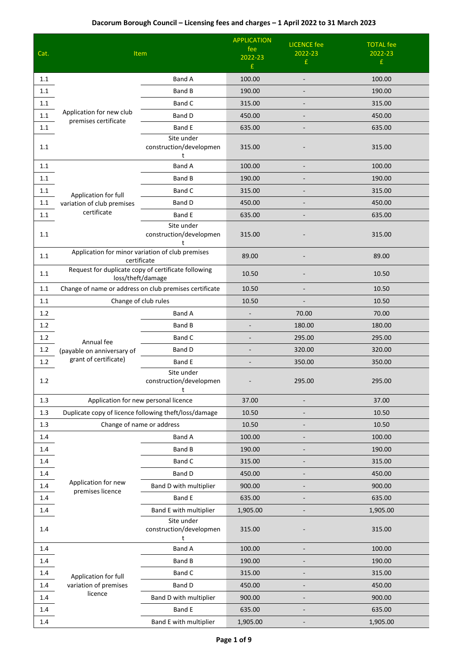|         |                                                                          |                                                        | <b>APPLICATION</b> | <b>LICENCE</b> fee           | <b>TOTAL fee</b> |
|---------|--------------------------------------------------------------------------|--------------------------------------------------------|--------------------|------------------------------|------------------|
| Cat.    |                                                                          | Item                                                   | fee<br>2022-23     | 2022-23                      | 2022-23          |
|         |                                                                          |                                                        | £                  | £                            | £                |
| 1.1     |                                                                          | <b>Band A</b>                                          | 100.00             | $\qquad \qquad \blacksquare$ | 100.00           |
| 1.1     |                                                                          | Band B                                                 | 190.00             |                              | 190.00           |
| 1.1     |                                                                          | Band C                                                 | 315.00             |                              | 315.00           |
| 1.1     | Application for new club<br>premises certificate                         | Band D                                                 | 450.00             |                              | 450.00           |
| 1.1     |                                                                          | <b>Band E</b>                                          | 635.00             |                              | 635.00           |
| 1.1     |                                                                          | Site under<br>construction/developmen<br>t             | 315.00             |                              | 315.00           |
| 1.1     |                                                                          | <b>Band A</b>                                          | 100.00             |                              | 100.00           |
| 1.1     |                                                                          | Band B                                                 | 190.00             |                              | 190.00           |
| 1.1     | Application for full                                                     | Band C                                                 | 315.00             |                              | 315.00           |
| $1.1\,$ | variation of club premises                                               | Band D                                                 | 450.00             |                              | 450.00           |
| 1.1     | certificate                                                              | Band E                                                 | 635.00             | $\overline{\phantom{a}}$     | 635.00           |
| 1.1     |                                                                          | Site under<br>construction/developmen<br>t             | 315.00             |                              | 315.00           |
| 1.1     | Application for minor variation of club premises<br>certificate          |                                                        | 89.00              |                              | 89.00            |
| 1.1     | Request for duplicate copy of certificate following<br>loss/theft/damage |                                                        | 10.50              |                              | 10.50            |
| 1.1     |                                                                          | Change of name or address on club premises certificate | 10.50              |                              | 10.50            |
| 1.1     | Change of club rules                                                     |                                                        | 10.50              |                              | 10.50            |
| 1.2     |                                                                          | Band A                                                 |                    | 70.00                        | 70.00            |
| $1.2\,$ |                                                                          | Band B                                                 |                    | 180.00                       | 180.00           |
| 1.2     | Annual fee                                                               | Band C                                                 |                    | 295.00                       | 295.00           |
| $1.2\,$ | (payable on anniversary of                                               | Band D                                                 |                    | 320.00                       | 320.00           |
| 1.2     | grant of certificate)                                                    | Band E                                                 |                    | 350.00                       | 350.00           |
| 1.2     |                                                                          | Site under<br>construction/developmen<br>t             |                    | 295.00                       | 295.00           |
| 1.3     |                                                                          | Application for new personal licence                   | 37.00              |                              | 37.00            |
| 1.3     | Duplicate copy of licence following theft/loss/damage                    |                                                        | 10.50              |                              | 10.50            |
| $1.3\,$ |                                                                          | Change of name or address                              | 10.50              | $\overline{\phantom{a}}$     | 10.50            |
| 1.4     |                                                                          | <b>Band A</b>                                          | 100.00             |                              | 100.00           |
| 1.4     |                                                                          | Band B                                                 | 190.00             |                              | 190.00           |
| 1.4     |                                                                          | Band C                                                 | 315.00             |                              | 315.00           |
| $1.4\,$ |                                                                          | <b>Band D</b>                                          | 450.00             |                              | 450.00           |
| 1.4     | Application for new<br>premises licence                                  | Band D with multiplier                                 | 900.00             |                              | 900.00           |
| 1.4     |                                                                          | Band E                                                 | 635.00             |                              | 635.00           |
| 1.4     |                                                                          | Band E with multiplier                                 | 1,905.00           |                              | 1,905.00         |
| $1.4\,$ |                                                                          | Site under<br>construction/developmen<br>t             | 315.00             |                              | 315.00           |
| 1.4     |                                                                          | Band A                                                 | 100.00             |                              | 100.00           |
| 1.4     |                                                                          | Band B                                                 | 190.00             |                              | 190.00           |
| 1.4     | Application for full                                                     | <b>Band C</b>                                          | 315.00             |                              | 315.00           |
| 1.4     | variation of premises                                                    | Band D                                                 | 450.00             | $\blacksquare$               | 450.00           |
| 1.4     | licence                                                                  | Band D with multiplier                                 | 900.00             | $\overline{\phantom{a}}$     | 900.00           |
| 1.4     |                                                                          | Band E                                                 | 635.00             |                              | 635.00           |
| 1.4     |                                                                          | Band E with multiplier                                 | 1,905.00           | -                            | 1,905.00         |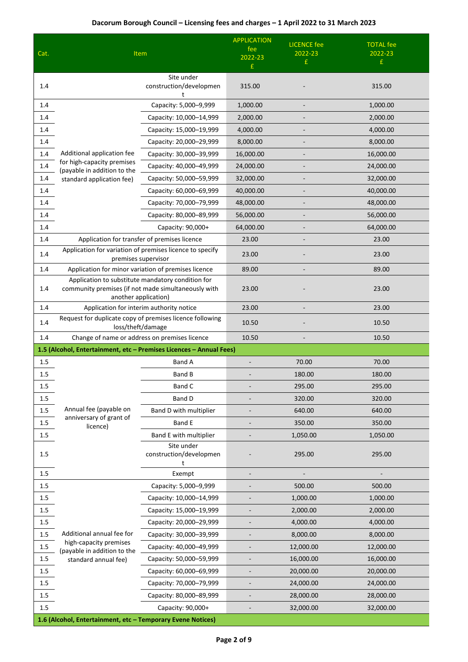| Cat.    | Item                                                                                                                             | <b>APPLICATION</b><br>fee<br>2022-23<br>£                           | <b>LICENCE</b> fee<br>2022-23<br>£ | <b>TOTAL fee</b><br>2022-23<br>£ |           |
|---------|----------------------------------------------------------------------------------------------------------------------------------|---------------------------------------------------------------------|------------------------------------|----------------------------------|-----------|
| 1.4     |                                                                                                                                  | Site under<br>construction/developmen<br>t                          | 315.00                             |                                  | 315.00    |
| 1.4     |                                                                                                                                  | Capacity: 5,000-9,999                                               | 1,000.00                           |                                  | 1,000.00  |
| 1.4     |                                                                                                                                  | Capacity: 10,000-14,999                                             | 2,000.00                           |                                  | 2,000.00  |
| 1.4     |                                                                                                                                  | Capacity: 15,000-19,999                                             | 4,000.00                           |                                  | 4,000.00  |
| 1.4     |                                                                                                                                  | Capacity: 20,000-29,999                                             | 8,000.00                           |                                  | 8,000.00  |
| $1.4\,$ | Additional application fee                                                                                                       | Capacity: 30,000-39,999                                             | 16,000.00                          |                                  | 16,000.00 |
| $1.4\,$ | for high-capacity premises<br>(payable in addition to the                                                                        | Capacity: 40,000-49,999                                             | 24,000.00                          |                                  | 24,000.00 |
| 1.4     | standard application fee)                                                                                                        | Capacity: 50,000-59,999                                             | 32,000.00                          |                                  | 32,000.00 |
| 1.4     |                                                                                                                                  | Capacity: 60,000-69,999                                             | 40,000.00                          |                                  | 40,000.00 |
| 1.4     |                                                                                                                                  | Capacity: 70,000-79,999                                             | 48,000.00                          |                                  | 48,000.00 |
| 1.4     |                                                                                                                                  | Capacity: 80,000-89,999                                             | 56,000.00                          |                                  | 56,000.00 |
| 1.4     |                                                                                                                                  | Capacity: 90,000+                                                   | 64,000.00                          |                                  | 64,000.00 |
| 1.4     | Application for transfer of premises licence                                                                                     |                                                                     | 23.00                              |                                  | 23.00     |
| 1.4     | Application for variation of premises licence to specify<br>premises supervisor                                                  | 23.00                                                               |                                    | 23.00                            |           |
| $1.4\,$ | Application for minor variation of premises licence                                                                              |                                                                     | 89.00                              |                                  | 89.00     |
| 1.4     | Application to substitute mandatory condition for<br>community premises (if not made simultaneously with<br>another application) |                                                                     | 23.00                              |                                  | 23.00     |
| $1.4\,$ | Application for interim authority notice                                                                                         |                                                                     | 23.00                              |                                  | 23.00     |
| 1.4     | Request for duplicate copy of premises licence following<br>loss/theft/damage                                                    | 10.50                                                               |                                    | 10.50                            |           |
| 1.4     | Change of name or address on premises licence                                                                                    |                                                                     | 10.50                              |                                  | 10.50     |
|         |                                                                                                                                  | 1.5 (Alcohol, Entertainment, etc - Premises Licences - Annual Fees) |                                    |                                  |           |
| 1.5     |                                                                                                                                  | Band A                                                              |                                    | 70.00                            | 70.00     |
| 1.5     |                                                                                                                                  | Band B                                                              |                                    | 180.00                           | 180.00    |
| 1.5     |                                                                                                                                  | Band C                                                              |                                    | 295.00                           | 295.00    |
| 1.5     |                                                                                                                                  | Band D                                                              |                                    | 320.00                           | 320.00    |
| 1.5     | Annual fee (payable on                                                                                                           | Band D with multiplier                                              |                                    | 640.00                           | 640.00    |
| $1.5\,$ | anniversary of grant of<br>licence)                                                                                              | <b>Band E</b>                                                       |                                    | 350.00                           | 350.00    |
| 1.5     |                                                                                                                                  | Band E with multiplier                                              |                                    | 1,050.00                         | 1,050.00  |
| 1.5     |                                                                                                                                  | Site under<br>construction/developmen<br>t                          |                                    | 295.00                           | 295.00    |
| 1.5     |                                                                                                                                  | Exempt                                                              |                                    |                                  |           |
| 1.5     |                                                                                                                                  | Capacity: 5,000-9,999                                               |                                    | 500.00                           | 500.00    |
| $1.5\,$ |                                                                                                                                  | Capacity: 10,000-14,999                                             |                                    | 1,000.00                         | 1,000.00  |
| $1.5\,$ |                                                                                                                                  | Capacity: 15,000-19,999                                             |                                    | 2,000.00                         | 2,000.00  |
| $1.5\,$ |                                                                                                                                  | Capacity: 20,000-29,999                                             |                                    | 4,000.00                         | 4,000.00  |
| $1.5\,$ | Additional annual fee for                                                                                                        | Capacity: 30,000-39,999                                             |                                    | 8,000.00                         | 8,000.00  |
| $1.5\,$ | high-capacity premises<br>(payable in addition to the                                                                            | Capacity: 40,000-49,999                                             |                                    | 12,000.00                        | 12,000.00 |
| $1.5\,$ | standard annual fee)                                                                                                             | Capacity: 50,000-59,999                                             |                                    | 16,000.00                        | 16,000.00 |
| $1.5\,$ |                                                                                                                                  | Capacity: 60,000-69,999                                             |                                    | 20,000.00                        | 20,000.00 |
| $1.5\,$ |                                                                                                                                  | Capacity: 70,000-79,999                                             |                                    | 24,000.00                        | 24,000.00 |
| $1.5\,$ |                                                                                                                                  | Capacity: 80,000-89,999                                             |                                    | 28,000.00                        | 28,000.00 |
| 1.5     |                                                                                                                                  | Capacity: 90,000+                                                   |                                    | 32,000.00                        | 32,000.00 |
|         | 1.6 (Alcohol, Entertainment, etc - Temporary Evene Notices)                                                                      |                                                                     |                                    |                                  |           |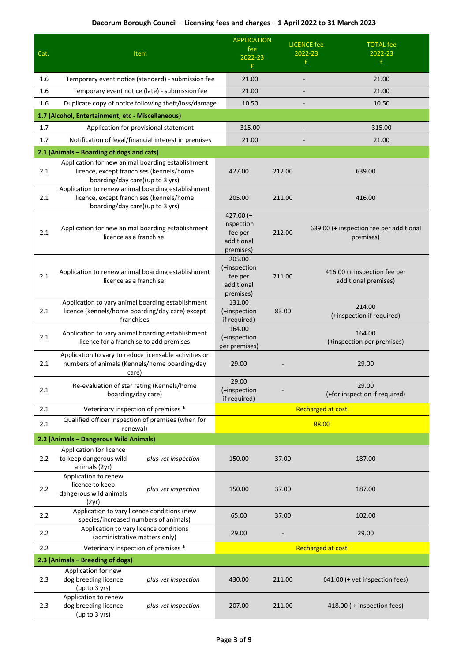|         |                                                                                                                                   | <b>APPLICATION</b>                                              |        | <b>LICENCE</b> fee<br><b>TOTAL fee</b>               |
|---------|-----------------------------------------------------------------------------------------------------------------------------------|-----------------------------------------------------------------|--------|------------------------------------------------------|
| Cat.    | Item                                                                                                                              | fee<br>2022-23                                                  |        | 2022-23<br>2022-23                                   |
|         |                                                                                                                                   | £                                                               |        | £<br>£.                                              |
| 1.6     | Temporary event notice (standard) - submission fee                                                                                | 21.00                                                           |        | 21.00<br>$\overline{a}$                              |
| 1.6     | Temporary event notice (late) - submission fee                                                                                    | 21.00                                                           |        | 21.00                                                |
| 1.6     | Duplicate copy of notice following theft/loss/damage                                                                              | 10.50                                                           |        | 10.50                                                |
|         | 1.7 (Alcohol, Entertainment, etc - Miscellaneous)                                                                                 |                                                                 |        |                                                      |
| 1.7     | Application for provisional statement                                                                                             | 315.00                                                          |        | 315.00                                               |
| 1.7     | Notification of legal/financial interest in premises                                                                              | 21.00                                                           |        | 21.00                                                |
|         | 2.1 (Animals - Boarding of dogs and cats)                                                                                         |                                                                 |        |                                                      |
| 2.1     | Application for new animal boarding establishment<br>licence, except franchises (kennels/home<br>boarding/day care)(up to 3 yrs)  | 427.00                                                          | 212.00 | 639.00                                               |
| 2.1     | Application to renew animal boarding establishment<br>licence, except franchises (kennels/home<br>boarding/day care)(up to 3 yrs) | 205.00                                                          | 211.00 | 416.00                                               |
| 2.1     | Application for new animal boarding establishment<br>licence as a franchise.                                                      | 427.00 $(+$<br>inspection<br>fee per<br>additional<br>premises) | 212.00 | 639.00 (+ inspection fee per additional<br>premises) |
| 2.1     | Application to renew animal boarding establishment<br>licence as a franchise.                                                     | 205.00<br>(+inspection<br>fee per<br>additional<br>premises)    | 211.00 | 416.00 (+ inspection fee per<br>additional premises) |
| 2.1     | Application to vary animal boarding establishment<br>licence (kennels/home boarding/day care) except<br>franchises                | 131.00<br>(+inspection<br>if required)                          | 83.00  | 214.00<br>(+inspection if required)                  |
| 2.1     | Application to vary animal boarding establishment<br>licence for a franchise to add premises                                      | 164.00<br>(+inspection<br>per premises)                         |        | 164.00<br>(+inspection per premises)                 |
| 2.1     | Application to vary to reduce licensable activities or<br>numbers of animals (Kennels/home boarding/day<br>care)                  | 29.00                                                           |        | 29.00                                                |
| 2.1     | Re-evaluation of star rating (Kennels/home<br>boarding/day care)                                                                  | 29.00<br>(+inspection<br>if required)                           |        | 29.00<br>(+for inspection if required)               |
| 2.1     | Veterinary inspection of premises *                                                                                               |                                                                 |        | <b>Recharged at cost</b>                             |
| 2.1     | Qualified officer inspection of premises (when for                                                                                |                                                                 |        | 88.00                                                |
|         | renewal)<br>2.2 (Animals - Dangerous Wild Animals)                                                                                |                                                                 |        |                                                      |
|         | Application for licence                                                                                                           |                                                                 |        |                                                      |
| 2.2     | to keep dangerous wild<br>plus vet inspection<br>animals (2yr)                                                                    | 150.00                                                          | 37.00  | 187.00                                               |
| $2.2\,$ | Application to renew<br>licence to keep<br>plus vet inspection<br>dangerous wild animals<br>(2yr)                                 | 150.00                                                          | 37.00  | 187.00                                               |
| 2.2     | Application to vary licence conditions (new<br>species/increased numbers of animals)                                              | 65.00                                                           | 37.00  | 102.00                                               |
| 2.2     | Application to vary licence conditions<br>(administrative matters only)                                                           | 29.00                                                           |        | 29.00                                                |
| 2.2     | Veterinary inspection of premises *                                                                                               |                                                                 |        | <b>Recharged at cost</b>                             |
|         | 2.3 (Animals – Breeding of dogs)                                                                                                  |                                                                 |        |                                                      |
| 2.3     | Application for new<br>dog breeding licence<br>plus vet inspection<br>(up to 3 yrs)                                               | 430.00                                                          | 211.00 | 641.00 (+ vet inspection fees)                       |
| 2.3     | Application to renew<br>dog breeding licence<br>plus vet inspection<br>(up to 3 yrs)                                              | 207.00                                                          | 211.00 | 418.00 (+inspection fees)                            |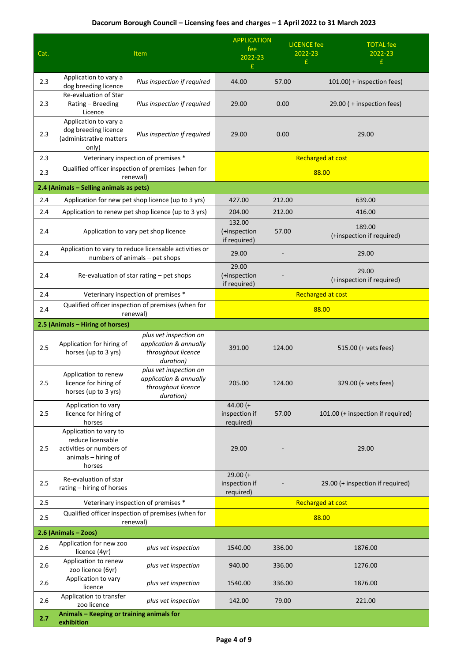|      |                                                                                                          |                                                                                          | <b>APPLICATION</b>                       | <b>LICENCE</b> fee       | <b>TOTAL fee</b>                    |
|------|----------------------------------------------------------------------------------------------------------|------------------------------------------------------------------------------------------|------------------------------------------|--------------------------|-------------------------------------|
| Cat. |                                                                                                          | Item                                                                                     | fee<br>2022-23                           | 2022-23                  | 2022-23                             |
|      |                                                                                                          |                                                                                          | £                                        | £                        | £                                   |
| 2.3  | Application to vary a<br>dog breeding licence                                                            | Plus inspection if required                                                              | 44.00                                    | 57.00                    | 101.00( + inspection fees)          |
| 2.3  | Re-evaluation of Star<br>Rating - Breeding<br>Licence                                                    | Plus inspection if required                                                              | 29.00                                    | 0.00                     | 29.00 ( + inspection fees)          |
| 2.3  | Application to vary a<br>dog breeding licence<br>(administrative matters<br>only)                        | Plus inspection if required                                                              | 29.00                                    | 0.00                     | 29.00                               |
| 2.3  |                                                                                                          | Veterinary inspection of premises *                                                      |                                          | <b>Recharged at cost</b> |                                     |
| 2.3  |                                                                                                          | Qualified officer inspection of premises (when for<br>renewal)                           |                                          | 88.00                    |                                     |
|      | 2.4 (Animals - Selling animals as pets)                                                                  |                                                                                          |                                          |                          |                                     |
| 2.4  |                                                                                                          | Application for new pet shop licence (up to 3 yrs)                                       | 427.00                                   | 212.00                   | 639.00                              |
| 2.4  |                                                                                                          | Application to renew pet shop licence (up to 3 yrs)                                      | 204.00                                   | 212.00                   | 416.00                              |
| 2.4  | Application to vary pet shop licence                                                                     |                                                                                          | 132.00<br>(+inspection<br>if required)   | 57.00                    | 189.00<br>(+inspection if required) |
| 2.4  |                                                                                                          | Application to vary to reduce licensable activities or<br>numbers of animals - pet shops | 29.00                                    |                          | 29.00                               |
| 2.4  | Re-evaluation of star rating - pet shops                                                                 |                                                                                          | 29.00<br>(+inspection<br>if required)    |                          | 29.00<br>(+inspection if required)  |
| 2.4  | Veterinary inspection of premises *                                                                      |                                                                                          | <b>Recharged at cost</b>                 |                          |                                     |
| 2.4  |                                                                                                          | Qualified officer inspection of premises (when for<br>renewal)                           |                                          | 88.00                    |                                     |
|      | 2.5 (Animals - Hiring of horses)                                                                         |                                                                                          |                                          |                          |                                     |
| 2.5  | Application for hiring of<br>horses (up to 3 yrs)                                                        | plus vet inspection on<br>application & annually<br>throughout licence<br>duration)      | 391.00                                   | 124.00                   | 515.00 (+ vets fees)                |
| 2.5  | Application to renew<br>licence for hiring of<br>horses (up to 3 yrs)                                    | plus vet inspection on<br>application & annually<br>throughout licence<br>duration)      | 205.00                                   | 124.00                   | 329.00 (+ vets fees)                |
| 2.5  | Application to vary<br>licence for hiring of<br>horses                                                   |                                                                                          | $44.00 (+$<br>inspection if<br>required) | 57.00                    | 101.00 (+ inspection if required)   |
| 2.5  | Application to vary to<br>reduce licensable<br>activities or numbers of<br>animals - hiring of<br>horses |                                                                                          | 29.00                                    |                          | 29.00                               |
| 2.5  | Re-evaluation of star<br>rating - hiring of horses                                                       |                                                                                          | $29.00 (+$<br>inspection if<br>required) |                          | 29.00 (+ inspection if required)    |
| 2.5  | Veterinary inspection of premises *                                                                      |                                                                                          | Recharged at cost                        |                          |                                     |
| 2.5  |                                                                                                          | Qualified officer inspection of premises (when for<br>renewal)                           |                                          | 88.00                    |                                     |
|      | 2.6 (Animals - Zoos)                                                                                     |                                                                                          |                                          |                          |                                     |
| 2.6  | Application for new zoo<br>licence (4yr)                                                                 | plus vet inspection                                                                      | 1540.00                                  | 336.00                   | 1876.00                             |
| 2.6  | Application to renew<br>zoo licence (6yr)                                                                | plus vet inspection                                                                      | 940.00                                   | 336.00                   | 1276.00                             |
| 2.6  | Application to vary<br>licence                                                                           | plus vet inspection                                                                      | 1540.00                                  | 336.00                   | 1876.00                             |
| 2.6  | Application to transfer<br>zoo licence                                                                   | plus vet inspection                                                                      | 142.00                                   | 79.00                    | 221.00                              |
| 2.7  | Animals - Keeping or training animals for<br>exhibition                                                  |                                                                                          |                                          |                          |                                     |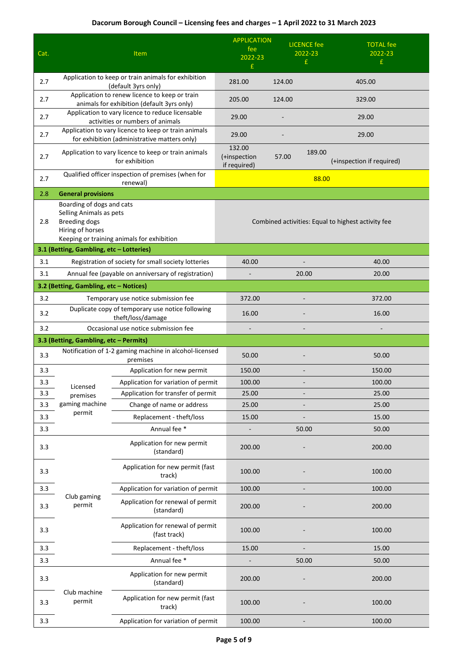| Cat. |                                                                                                  | <b>Item</b>                                                                                          | <b>APPLICATION</b><br>fee<br>2022-23   | <b>LICENCE</b> fee<br>2022-23                      | <b>TOTAL</b> fee<br>2022-23 |
|------|--------------------------------------------------------------------------------------------------|------------------------------------------------------------------------------------------------------|----------------------------------------|----------------------------------------------------|-----------------------------|
|      |                                                                                                  |                                                                                                      | £                                      | £                                                  | £                           |
| 2.7  |                                                                                                  | Application to keep or train animals for exhibition<br>(default 3yrs only)                           | 281.00                                 | 124.00                                             | 405.00                      |
| 2.7  |                                                                                                  | Application to renew licence to keep or train<br>animals for exhibition (default 3yrs only)          | 205.00                                 | 124.00                                             | 329.00                      |
| 2.7  |                                                                                                  | Application to vary licence to reduce licensable<br>activities or numbers of animals                 | 29.00                                  |                                                    | 29.00                       |
| 2.7  |                                                                                                  | Application to vary licence to keep or train animals<br>for exhibition (administrative matters only) | 29.00                                  |                                                    | 29.00                       |
| 2.7  |                                                                                                  | Application to vary licence to keep or train animals<br>for exhibition                               | 132.00<br>(+inspection<br>if required) | 189.00<br>57.00                                    | (+inspection if required)   |
| 2.7  |                                                                                                  | Qualified officer inspection of premises (when for<br>renewal)                                       |                                        | 88.00                                              |                             |
| 2.8  | <b>General provisions</b>                                                                        |                                                                                                      |                                        |                                                    |                             |
| 2.8  | Boarding of dogs and cats<br>Selling Animals as pets<br><b>Breeding dogs</b><br>Hiring of horses | Keeping or training animals for exhibition                                                           |                                        | Combined activities: Equal to highest activity fee |                             |
|      | 3.1 (Betting, Gambling, etc - Lotteries)                                                         |                                                                                                      |                                        |                                                    |                             |
| 3.1  |                                                                                                  | Registration of society for small society lotteries                                                  | 40.00                                  |                                                    | 40.00                       |
| 3.1  |                                                                                                  | Annual fee (payable on anniversary of registration)                                                  |                                        | 20.00                                              | 20.00                       |
|      | 3.2 (Betting, Gambling, etc - Notices)                                                           |                                                                                                      |                                        |                                                    |                             |
| 3.2  |                                                                                                  | Temporary use notice submission fee                                                                  | 372.00                                 |                                                    | 372.00                      |
| 3.2  |                                                                                                  | Duplicate copy of temporary use notice following<br>theft/loss/damage                                | 16.00                                  |                                                    | 16.00                       |
| 3.2  |                                                                                                  | Occasional use notice submission fee                                                                 |                                        |                                                    |                             |
|      |                                                                                                  |                                                                                                      |                                        |                                                    |                             |
|      | 3.3 (Betting, Gambling, etc - Permits)                                                           |                                                                                                      |                                        |                                                    |                             |
| 3.3  |                                                                                                  | Notification of 1-2 gaming machine in alcohol-licensed<br>premises                                   | 50.00                                  |                                                    | 50.00                       |
| 3.3  |                                                                                                  | Application for new permit                                                                           | 150.00                                 |                                                    | 150.00                      |
| 3.3  | Licensed                                                                                         | Application for variation of permit                                                                  | 100.00                                 |                                                    | 100.00                      |
| 3.3  | premises                                                                                         | Application for transfer of permit                                                                   | 25.00                                  |                                                    | 25.00                       |
| 3.3  | gaming machine                                                                                   | Change of name or address                                                                            | 25.00                                  |                                                    | 25.00                       |
| 3.3  | permit                                                                                           | Replacement - theft/loss                                                                             | 15.00                                  |                                                    | 15.00                       |
| 3.3  |                                                                                                  | Annual fee *                                                                                         |                                        | 50.00                                              | 50.00                       |
| 3.3  |                                                                                                  | Application for new permit<br>(standard)                                                             | 200.00                                 |                                                    | 200.00                      |
| 3.3  |                                                                                                  | Application for new permit (fast<br>track)                                                           | 100.00                                 |                                                    | 100.00                      |
| 3.3  |                                                                                                  | Application for variation of permit                                                                  | 100.00                                 |                                                    | 100.00                      |
| 3.3  | Club gaming<br>permit                                                                            | Application for renewal of permit<br>(standard)                                                      | 200.00                                 |                                                    | 200.00                      |
| 3.3  |                                                                                                  | Application for renewal of permit<br>(fast track)                                                    | 100.00                                 |                                                    | 100.00                      |
| 3.3  |                                                                                                  | Replacement - theft/loss                                                                             | 15.00                                  |                                                    | 15.00                       |
| 3.3  |                                                                                                  | Annual fee *                                                                                         |                                        | 50.00                                              | 50.00                       |
| 3.3  |                                                                                                  | Application for new permit<br>(standard)                                                             | 200.00                                 |                                                    | 200.00                      |
| 3.3  | Club machine<br>permit                                                                           | Application for new permit (fast<br>track)                                                           | 100.00                                 |                                                    | 100.00                      |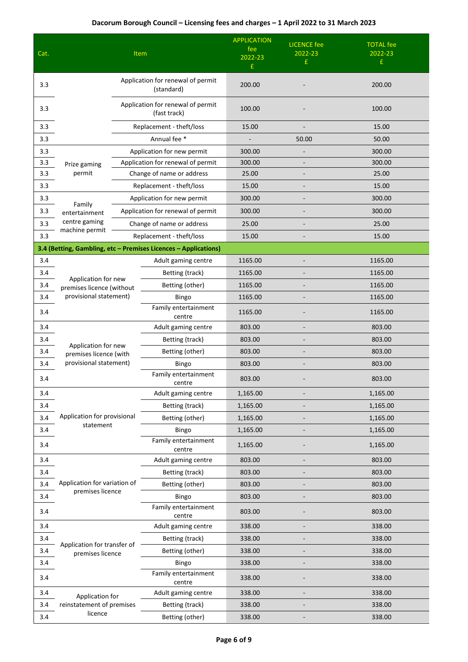| Cat. | Item                                              |  | <b>APPLICATION</b><br>fee<br>2022-23<br>£                       | <b>LICENCE</b> fee<br>2022-23<br>£ | <b>TOTAL fee</b><br>2022-23<br>£ |          |
|------|---------------------------------------------------|--|-----------------------------------------------------------------|------------------------------------|----------------------------------|----------|
| 3.3  |                                                   |  | Application for renewal of permit<br>(standard)                 | 200.00                             |                                  | 200.00   |
| 3.3  | Application for renewal of permit<br>(fast track) |  |                                                                 | 100.00                             |                                  | 100.00   |
| 3.3  |                                                   |  | Replacement - theft/loss                                        | 15.00                              |                                  | 15.00    |
| 3.3  |                                                   |  | Annual fee *                                                    |                                    | 50.00                            | 50.00    |
| 3.3  |                                                   |  | Application for new permit                                      | 300.00                             |                                  | 300.00   |
| 3.3  | Prize gaming                                      |  | Application for renewal of permit                               | 300.00                             |                                  | 300.00   |
| 3.3  | permit                                            |  | Change of name or address                                       | 25.00                              |                                  | 25.00    |
| 3.3  |                                                   |  | Replacement - theft/loss                                        | 15.00                              |                                  | 15.00    |
| 3.3  | Family                                            |  | Application for new permit                                      | 300.00                             |                                  | 300.00   |
| 3.3  | entertainment                                     |  | Application for renewal of permit                               | 300.00                             |                                  | 300.00   |
| 3.3  | centre gaming                                     |  | Change of name or address                                       | 25.00                              |                                  | 25.00    |
| 3.3  | machine permit                                    |  | Replacement - theft/loss                                        | 15.00                              |                                  | 15.00    |
|      |                                                   |  | 3.4 (Betting, Gambling, etc - Premises Licences - Applications) |                                    |                                  |          |
| 3.4  |                                                   |  | Adult gaming centre                                             | 1165.00                            |                                  | 1165.00  |
| 3.4  |                                                   |  | Betting (track)                                                 | 1165.00                            |                                  | 1165.00  |
| 3.4  | Application for new<br>premises licence (without  |  | Betting (other)                                                 | 1165.00                            |                                  | 1165.00  |
| 3.4  | provisional statement)                            |  | Bingo                                                           | 1165.00                            |                                  | 1165.00  |
| 3.4  |                                                   |  | Family entertainment<br>centre                                  | 1165.00                            |                                  | 1165.00  |
| 3.4  |                                                   |  | Adult gaming centre                                             | 803.00                             |                                  | 803.00   |
| 3.4  | Application for new                               |  | Betting (track)                                                 | 803.00                             | $\overline{\phantom{a}}$         | 803.00   |
| 3.4  | premises licence (with                            |  | Betting (other)                                                 | 803.00                             |                                  | 803.00   |
| 3.4  | provisional statement)                            |  | Bingo                                                           | 803.00                             |                                  | 803.00   |
| 3.4  |                                                   |  | Family entertainment<br>centre                                  | 803.00                             |                                  | 803.00   |
| 3.4  |                                                   |  | Adult gaming centre                                             | 1,165.00                           |                                  | 1,165.00 |
| 3.4  |                                                   |  | Betting (track)                                                 | 1,165.00                           |                                  | 1,165.00 |
| 3.4  | Application for provisional<br>statement          |  | Betting (other)                                                 | 1,165.00                           |                                  | 1,165.00 |
| 3.4  |                                                   |  | Bingo                                                           | 1,165.00                           |                                  | 1,165.00 |
| 3.4  |                                                   |  | Family entertainment<br>centre                                  | 1,165.00                           |                                  | 1,165.00 |
| 3.4  |                                                   |  | Adult gaming centre                                             | 803.00                             |                                  | 803.00   |
| 3.4  |                                                   |  | Betting (track)                                                 | 803.00                             |                                  | 803.00   |
| 3.4  | Application for variation of<br>premises licence  |  | Betting (other)                                                 | 803.00                             | $\overline{\phantom{0}}$         | 803.00   |
| 3.4  |                                                   |  | Bingo                                                           | 803.00                             |                                  | 803.00   |
| 3.4  |                                                   |  | Family entertainment<br>centre                                  | 803.00                             |                                  | 803.00   |
| 3.4  |                                                   |  | Adult gaming centre                                             | 338.00                             |                                  | 338.00   |
| 3.4  | Application for transfer of                       |  | Betting (track)                                                 | 338.00                             |                                  | 338.00   |
| 3.4  | premises licence                                  |  | Betting (other)                                                 | 338.00                             |                                  | 338.00   |
| 3.4  |                                                   |  | Bingo                                                           | 338.00                             |                                  | 338.00   |
| 3.4  |                                                   |  | Family entertainment<br>centre                                  | 338.00                             |                                  | 338.00   |
| 3.4  | Application for                                   |  | Adult gaming centre                                             | 338.00                             |                                  | 338.00   |
| 3.4  | reinstatement of premises                         |  | Betting (track)                                                 | 338.00                             |                                  | 338.00   |
| 3.4  | licence                                           |  | Betting (other)                                                 | 338.00                             |                                  | 338.00   |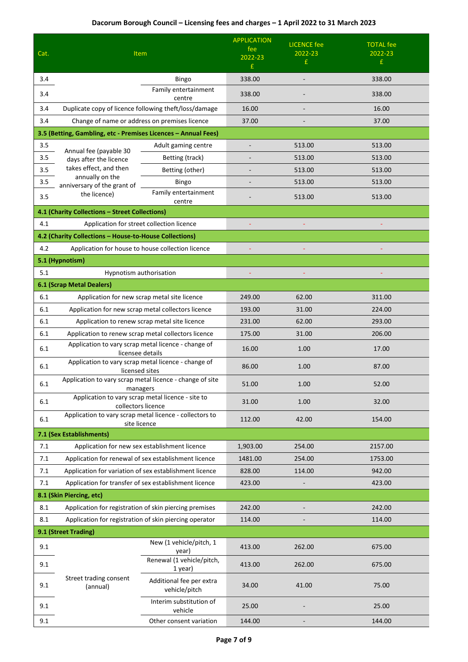|      |                                                                         | <b>APPLICATION</b>                                     | <b>LICENCE</b> fee | <b>TOTAL</b> fee |         |
|------|-------------------------------------------------------------------------|--------------------------------------------------------|--------------------|------------------|---------|
| Cat. | Item                                                                    | fee<br>2022-23                                         | 2022-23            | 2022-23          |         |
|      |                                                                         | £                                                      | £                  | £.               |         |
| 3.4  |                                                                         | 338.00                                                 |                    | 338.00           |         |
| 3.4  |                                                                         | Family entertainment<br>centre                         | 338.00             |                  | 338.00  |
| 3.4  | Duplicate copy of licence following theft/loss/damage                   |                                                        | 16.00              |                  | 16.00   |
| 3.4  | Change of name or address on premises licence                           |                                                        | 37.00              |                  | 37.00   |
|      | 3.5 (Betting, Gambling, etc - Premises Licences - Annual Fees)          |                                                        |                    |                  |         |
| 3.5  | Annual fee (payable 30                                                  | Adult gaming centre                                    |                    | 513.00           | 513.00  |
| 3.5  | days after the licence                                                  | Betting (track)                                        |                    | 513.00           | 513.00  |
| 3.5  | takes effect, and then                                                  | Betting (other)                                        |                    | 513.00           | 513.00  |
| 3.5  | annually on the<br>anniversary of the grant of                          | Bingo                                                  |                    | 513.00           | 513.00  |
| 3.5  | the licence)                                                            | Family entertainment<br>centre                         |                    | 513.00           | 513.00  |
|      | 4.1 (Charity Collections - Street Collections)                          |                                                        |                    |                  |         |
| 4.1  | Application for street collection licence                               |                                                        |                    |                  |         |
|      | 4.2 (Charity Collections - House-to-House Collections)                  |                                                        |                    |                  |         |
| 4.2  | Application for house to house collection licence                       |                                                        |                    |                  |         |
|      | 5.1 (Hypnotism)                                                         |                                                        |                    |                  |         |
| 5.1  | Hypnotism authorisation                                                 |                                                        |                    |                  |         |
|      | <b>6.1 (Scrap Metal Dealers)</b>                                        |                                                        |                    |                  |         |
| 6.1  | Application for new scrap metal site licence                            | 249.00                                                 | 62.00              | 311.00           |         |
| 6.1  | Application for new scrap metal collectors licence                      |                                                        | 193.00             | 31.00            | 224.00  |
| 6.1  | Application to renew scrap metal site licence                           |                                                        | 231.00             | 62.00            | 293.00  |
| 6.1  | Application to renew scrap metal collectors licence                     |                                                        | 175.00             | 31.00            | 206.00  |
| 6.1  | licensee details                                                        | Application to vary scrap metal licence - change of    | 16.00              | 1.00             | 17.00   |
| 6.1  | licensed sites                                                          | Application to vary scrap metal licence - change of    | 86.00              | 1.00             | 87.00   |
| 6.1  | Application to vary scrap metal licence - change of site<br>managers    |                                                        | 51.00              | 1.00             | 52.00   |
| 6.1  | Application to vary scrap metal licence - site to<br>collectors licence |                                                        | 31.00              | 1.00             | 32.00   |
| 6.1  | Application to vary scrap metal licence - collectors to<br>site licence |                                                        | 112.00             | 42.00            | 154.00  |
|      | 7.1 (Sex Establishments)                                                |                                                        |                    |                  |         |
| 7.1  | Application for new sex establishment licence                           |                                                        | 1,903.00           | 254.00           | 2157.00 |
| 7.1  | Application for renewal of sex establishment licence                    |                                                        | 1481.00            | 254.00           | 1753.00 |
| 7.1  | Application for variation of sex establishment licence                  |                                                        | 828.00             | 114.00           | 942.00  |
| 7.1  | Application for transfer of sex establishment licence                   |                                                        | 423.00             |                  | 423.00  |
|      | 8.1 (Skin Piercing, etc)                                                |                                                        |                    |                  |         |
| 8.1  | Application for registration of skin piercing premises                  |                                                        | 242.00             |                  | 242.00  |
| 8.1  |                                                                         | Application for registration of skin piercing operator | 114.00             |                  | 114.00  |
|      | 9.1 (Street Trading)                                                    |                                                        |                    |                  |         |
| 9.1  |                                                                         | New (1 vehicle/pitch, 1<br>year)                       | 413.00             | 262.00           | 675.00  |
| 9.1  |                                                                         | Renewal (1 vehicle/pitch,<br>1 year)                   | 413.00             | 262.00           | 675.00  |
| 9.1  | Street trading consent<br>(annual)                                      | Additional fee per extra<br>vehicle/pitch              | 34.00              | 41.00            | 75.00   |
| 9.1  |                                                                         | Interim substitution of<br>vehicle                     | 25.00              |                  | 25.00   |
| 9.1  |                                                                         | Other consent variation                                | 144.00             |                  | 144.00  |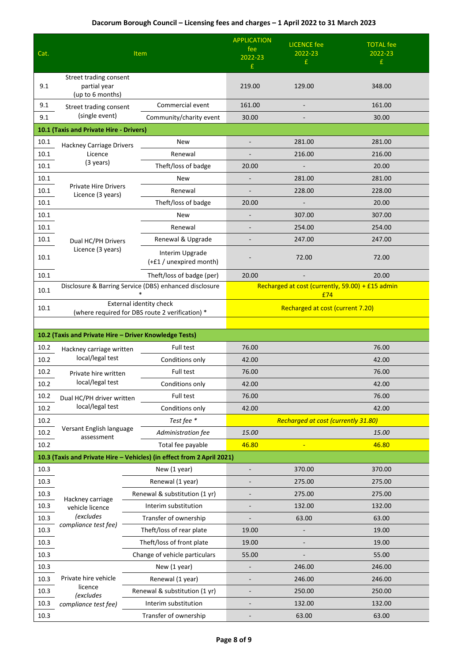| Cat.         | <b>Item</b>                                                                |  | <b>APPLICATION</b><br>fee<br>2022-23<br>£                              | <b>LICENCE</b> fee<br>2022-23<br>£                      | <b>TOTAL</b> fee<br>2022-23<br>£           |                |
|--------------|----------------------------------------------------------------------------|--|------------------------------------------------------------------------|---------------------------------------------------------|--------------------------------------------|----------------|
| 9.1          | Street trading consent<br>partial year<br>(up to 6 months)                 |  |                                                                        | 219.00                                                  | 129.00                                     | 348.00         |
| 9.1          | Street trading consent                                                     |  | Commercial event                                                       | 161.00                                                  |                                            | 161.00         |
| 9.1          | (single event)                                                             |  | Community/charity event                                                | 30.00                                                   |                                            | 30.00          |
|              | 10.1 (Taxis and Private Hire - Drivers)                                    |  |                                                                        |                                                         |                                            |                |
| 10.1         | Hackney Carriage Drivers                                                   |  | <b>New</b>                                                             |                                                         | 281.00                                     | 281.00         |
| 10.1         | Licence<br>(3 years)                                                       |  | Renewal                                                                |                                                         | 216.00                                     | 216.00         |
| 10.1         |                                                                            |  | Theft/loss of badge                                                    | 20.00                                                   |                                            | 20.00          |
| 10.1         | <b>Private Hire Drivers</b>                                                |  | New                                                                    |                                                         | 281.00                                     | 281.00         |
| 10.1         | Licence (3 years)                                                          |  | Renewal                                                                |                                                         | 228.00                                     | 228.00         |
| 10.1         |                                                                            |  | Theft/loss of badge                                                    | 20.00                                                   |                                            | 20.00          |
| 10.1         |                                                                            |  | New                                                                    |                                                         | 307.00                                     | 307.00         |
| 10.1         |                                                                            |  | Renewal                                                                |                                                         | 254.00                                     | 254.00         |
| 10.1         | Dual HC/PH Drivers<br>Licence (3 years)                                    |  | Renewal & Upgrade                                                      |                                                         | 247.00                                     | 247.00         |
| 10.1         |                                                                            |  | Interim Upgrade<br>(+£1 / unexpired month)                             |                                                         | 72.00                                      | 72.00          |
| 10.1         |                                                                            |  | Theft/loss of badge (per)                                              | 20.00                                                   |                                            | 20.00          |
| 10.1         | Disclosure & Barring Service (DBS) enhanced disclosure                     |  |                                                                        | Recharged at cost (currently, 59.00) + £15 admin<br>£74 |                                            |                |
| 10.1         | External identity check<br>(where required for DBS route 2 verification) * |  |                                                                        | Recharged at cost (current 7.20)                        |                                            |                |
|              |                                                                            |  |                                                                        |                                                         |                                            |                |
|              | 10.2 (Taxis and Private Hire - Driver Knowledge Tests)                     |  |                                                                        |                                                         |                                            |                |
| 10.2<br>10.2 | Hackney carriage written<br>local/legal test                               |  | Full test<br>Conditions only                                           | 76.00<br>42.00                                          |                                            | 76.00<br>42.00 |
| 10.2         |                                                                            |  | Full test                                                              | 76.00                                                   |                                            | 76.00          |
| 10.2         | Private hire written<br>local/legal test                                   |  | Conditions only                                                        | 42.00                                                   |                                            | 42.00          |
| 10.2         | Dual HC/PH driver written                                                  |  | Full test                                                              | 76.00                                                   |                                            | 76.00          |
| 10.2         | local/legal test                                                           |  | Conditions only                                                        | 42.00                                                   |                                            | 42.00          |
| 10.2         |                                                                            |  | Test fee *                                                             |                                                         | <b>Recharged at cost (currently 31.80)</b> |                |
| 10.2         | Versant English language                                                   |  | Administration fee                                                     | 15.00                                                   |                                            | 15.00          |
| 10.2         | assessment                                                                 |  | Total fee payable                                                      | 46.80                                                   | Ξ                                          | 46.80          |
|              |                                                                            |  | 10.3 (Taxis and Private Hire - Vehicles) (in effect from 2 April 2021) |                                                         |                                            |                |
| 10.3         |                                                                            |  | New (1 year)                                                           |                                                         | 370.00                                     | 370.00         |
| 10.3         |                                                                            |  | Renewal (1 year)                                                       |                                                         | 275.00                                     | 275.00         |
| 10.3         |                                                                            |  | Renewal & substitution (1 yr)                                          |                                                         | 275.00                                     | 275.00         |
| 10.3         | Hackney carriage<br>vehicle licence                                        |  | Interim substitution                                                   |                                                         | 132.00                                     | 132.00         |
| 10.3         | <i>(excludes</i>                                                           |  | Transfer of ownership                                                  |                                                         | 63.00                                      | 63.00          |
| 10.3         | compliance test fee)                                                       |  | Theft/loss of rear plate                                               | 19.00                                                   |                                            | 19.00          |
| 10.3         |                                                                            |  | Theft/loss of front plate                                              | 19.00                                                   | $\overline{\phantom{a}}$                   | 19.00          |
| 10.3         |                                                                            |  | Change of vehicle particulars                                          | 55.00                                                   |                                            | 55.00          |
| 10.3         |                                                                            |  | New (1 year)                                                           |                                                         | 246.00                                     | 246.00         |
| 10.3         | Private hire vehicle                                                       |  | Renewal (1 year)                                                       |                                                         | 246.00                                     | 246.00         |
| 10.3         | licence                                                                    |  | Renewal & substitution (1 yr)                                          |                                                         | 250.00                                     | 250.00         |
| 10.3         | <i>(excludes</i><br>compliance test fee)                                   |  | Interim substitution                                                   |                                                         | 132.00                                     | 132.00         |
| 10.3         |                                                                            |  | Transfer of ownership                                                  |                                                         | 63.00                                      | 63.00          |